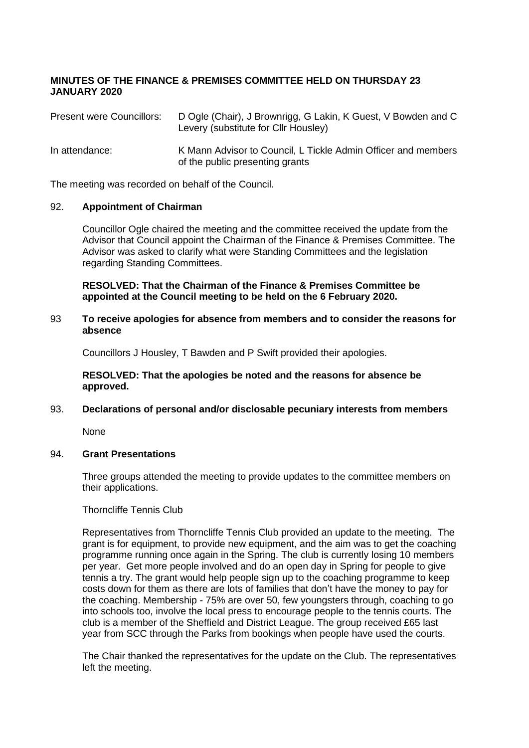# **MINUTES OF THE FINANCE & PREMISES COMMITTEE HELD ON THURSDAY 23 JANUARY 2020**

| Present were Councillors: | D Ogle (Chair), J Brownrigg, G Lakin, K Guest, V Bowden and C<br>Levery (substitute for Cllr Housley) |
|---------------------------|-------------------------------------------------------------------------------------------------------|
| In attendance:            | K Mann Advisor to Council, L Tickle Admin Officer and members<br>of the public presenting grants      |

The meeting was recorded on behalf of the Council.

#### 92. **Appointment of Chairman**

Councillor Ogle chaired the meeting and the committee received the update from the Advisor that Council appoint the Chairman of the Finance & Premises Committee. The Advisor was asked to clarify what were Standing Committees and the legislation regarding Standing Committees.

#### **RESOLVED: That the Chairman of the Finance & Premises Committee be appointed at the Council meeting to be held on the 6 February 2020.**

#### 93 **To receive apologies for absence from members and to consider the reasons for absence**

Councillors J Housley, T Bawden and P Swift provided their apologies.

#### **RESOLVED: That the apologies be noted and the reasons for absence be approved.**

# 93. **Declarations of personal and/or disclosable pecuniary interests from members**

None

# 94. **Grant Presentations**

Three groups attended the meeting to provide updates to the committee members on their applications.

#### Thorncliffe Tennis Club

Representatives from Thorncliffe Tennis Club provided an update to the meeting. The grant is for equipment, to provide new equipment, and the aim was to get the coaching programme running once again in the Spring. The club is currently losing 10 members per year. Get more people involved and do an open day in Spring for people to give tennis a try. The grant would help people sign up to the coaching programme to keep costs down for them as there are lots of families that don't have the money to pay for the coaching. Membership - 75% are over 50, few youngsters through, coaching to go into schools too, involve the local press to encourage people to the tennis courts. The club is a member of the Sheffield and District League. The group received £65 last year from SCC through the Parks from bookings when people have used the courts.

The Chair thanked the representatives for the update on the Club. The representatives left the meeting.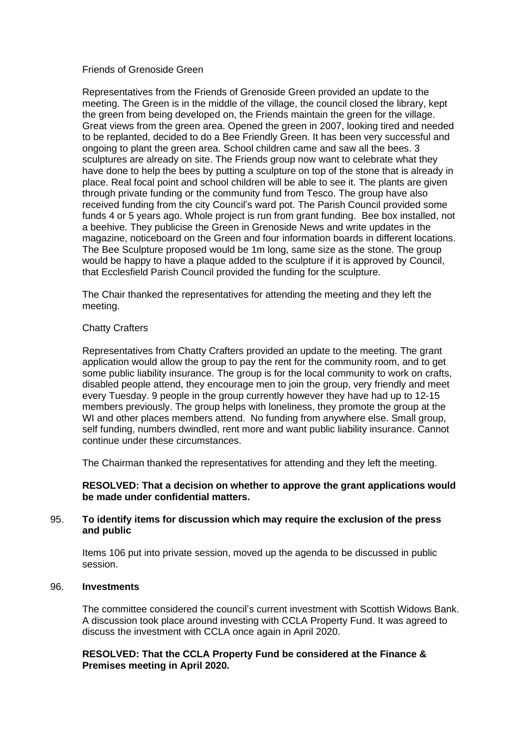#### Friends of Grenoside Green

Representatives from the Friends of Grenoside Green provided an update to the meeting. The Green is in the middle of the village, the council closed the library, kept the green from being developed on, the Friends maintain the green for the village. Great views from the green area. Opened the green in 2007, looking tired and needed to be replanted, decided to do a Bee Friendly Green. It has been very successful and ongoing to plant the green area. School children came and saw all the bees. 3 sculptures are already on site. The Friends group now want to celebrate what they have done to help the bees by putting a sculpture on top of the stone that is already in place. Real focal point and school children will be able to see it. The plants are given through private funding or the community fund from Tesco. The group have also received funding from the city Council's ward pot. The Parish Council provided some funds 4 or 5 years ago. Whole project is run from grant funding. Bee box installed, not a beehive. They publicise the Green in Grenoside News and write updates in the magazine, noticeboard on the Green and four information boards in different locations. The Bee Sculpture proposed would be 1m long, same size as the stone. The group would be happy to have a plaque added to the sculpture if it is approved by Council, that Ecclesfield Parish Council provided the funding for the sculpture.

The Chair thanked the representatives for attending the meeting and they left the meeting.

#### Chatty Crafters

Representatives from Chatty Crafters provided an update to the meeting. The grant application would allow the group to pay the rent for the community room, and to get some public liability insurance. The group is for the local community to work on crafts, disabled people attend, they encourage men to join the group, very friendly and meet every Tuesday. 9 people in the group currently however they have had up to 12-15 members previously. The group helps with loneliness, they promote the group at the WI and other places members attend. No funding from anywhere else. Small group, self funding, numbers dwindled, rent more and want public liability insurance. Cannot continue under these circumstances.

The Chairman thanked the representatives for attending and they left the meeting.

#### **RESOLVED: That a decision on whether to approve the grant applications would be made under confidential matters.**

#### 95. **To identify items for discussion which may require the exclusion of the press and public**

Items 106 put into private session, moved up the agenda to be discussed in public session.

#### 96. **Investments**

The committee considered the council's current investment with Scottish Widows Bank. A discussion took place around investing with CCLA Property Fund. It was agreed to discuss the investment with CCLA once again in April 2020.

#### **RESOLVED: That the CCLA Property Fund be considered at the Finance & Premises meeting in April 2020.**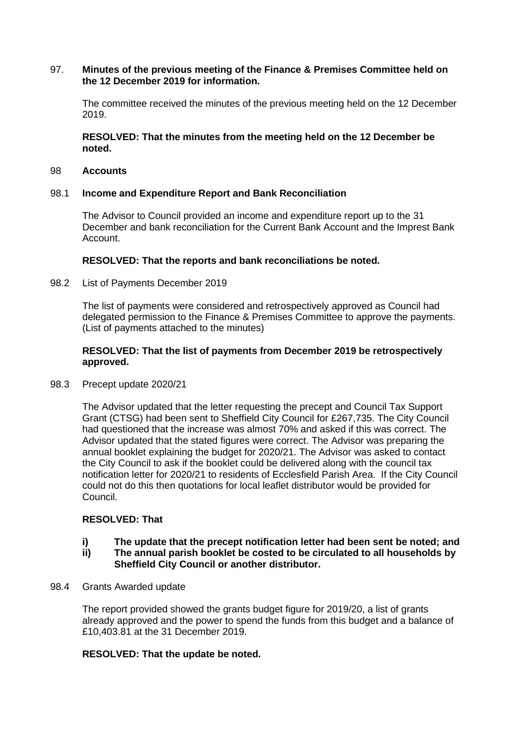#### 97. **Minutes of the previous meeting of the Finance & Premises Committee held on the 12 December 2019 for information.**

The committee received the minutes of the previous meeting held on the 12 December 2019.

**RESOLVED: That the minutes from the meeting held on the 12 December be noted.**

# 98 **Accounts**

#### 98.1 **Income and Expenditure Report and Bank Reconciliation**

The Advisor to Council provided an income and expenditure report up to the 31 December and bank reconciliation for the Current Bank Account and the Imprest Bank Account.

#### **RESOLVED: That the reports and bank reconciliations be noted.**

98.2 List of Payments December 2019

The list of payments were considered and retrospectively approved as Council had delegated permission to the Finance & Premises Committee to approve the payments. (List of payments attached to the minutes)

# **RESOLVED: That the list of payments from December 2019 be retrospectively approved.**

98.3 Precept update 2020/21

The Advisor updated that the letter requesting the precept and Council Tax Support Grant (CTSG) had been sent to Sheffield City Council for £267,735. The City Council had questioned that the increase was almost 70% and asked if this was correct. The Advisor updated that the stated figures were correct. The Advisor was preparing the annual booklet explaining the budget for 2020/21. The Advisor was asked to contact the City Council to ask if the booklet could be delivered along with the council tax notification letter for 2020/21 to residents of Ecclesfield Parish Area. If the City Council could not do this then quotations for local leaflet distributor would be provided for Council.

# **RESOLVED: That**

# **i)** The update that the precept notification letter had been sent be noted; and<br>**ii)** The annual parish booklet be costed to be circulated to all households by

- **ii) The annual parish booklet be costed to be circulated to all households by Sheffield City Council or another distributor.**
- 98.4 Grants Awarded update

The report provided showed the grants budget figure for 2019/20, a list of grants already approved and the power to spend the funds from this budget and a balance of £10,403.81 at the 31 December 2019.

#### **RESOLVED: That the update be noted.**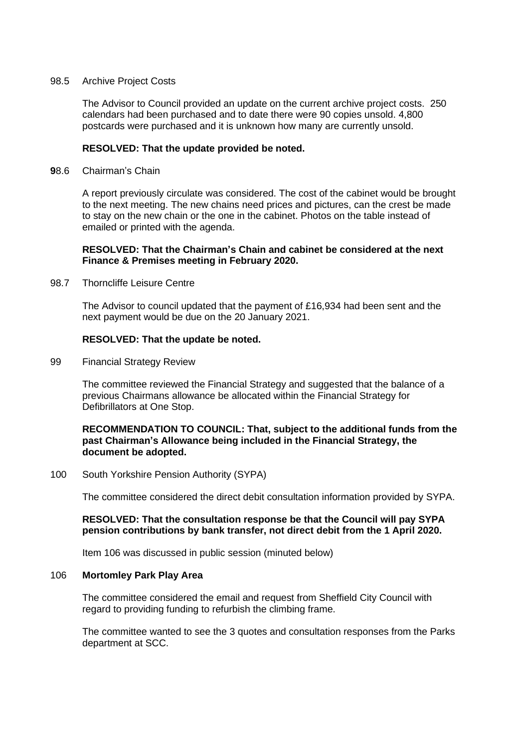#### 98.5 Archive Project Costs

The Advisor to Council provided an update on the current archive project costs. 250 calendars had been purchased and to date there were 90 copies unsold. 4,800 postcards were purchased and it is unknown how many are currently unsold.

# **RESOLVED: That the update provided be noted.**

**9**8.6 Chairman's Chain

A report previously circulate was considered. The cost of the cabinet would be brought to the next meeting. The new chains need prices and pictures, can the crest be made to stay on the new chain or the one in the cabinet. Photos on the table instead of emailed or printed with the agenda.

#### **RESOLVED: That the Chairman's Chain and cabinet be considered at the next Finance & Premises meeting in February 2020.**

98.7 Thorncliffe Leisure Centre

The Advisor to council updated that the payment of £16,934 had been sent and the next payment would be due on the 20 January 2021.

#### **RESOLVED: That the update be noted.**

99 Financial Strategy Review

The committee reviewed the Financial Strategy and suggested that the balance of a previous Chairmans allowance be allocated within the Financial Strategy for Defibrillators at One Stop.

## **RECOMMENDATION TO COUNCIL: That, subject to the additional funds from the past Chairman's Allowance being included in the Financial Strategy, the document be adopted.**

100 South Yorkshire Pension Authority (SYPA)

The committee considered the direct debit consultation information provided by SYPA.

#### **RESOLVED: That the consultation response be that the Council will pay SYPA pension contributions by bank transfer, not direct debit from the 1 April 2020.**

Item 106 was discussed in public session (minuted below)

#### 106 **Mortomley Park Play Area**

The committee considered the email and request from Sheffield City Council with regard to providing funding to refurbish the climbing frame.

The committee wanted to see the 3 quotes and consultation responses from the Parks department at SCC.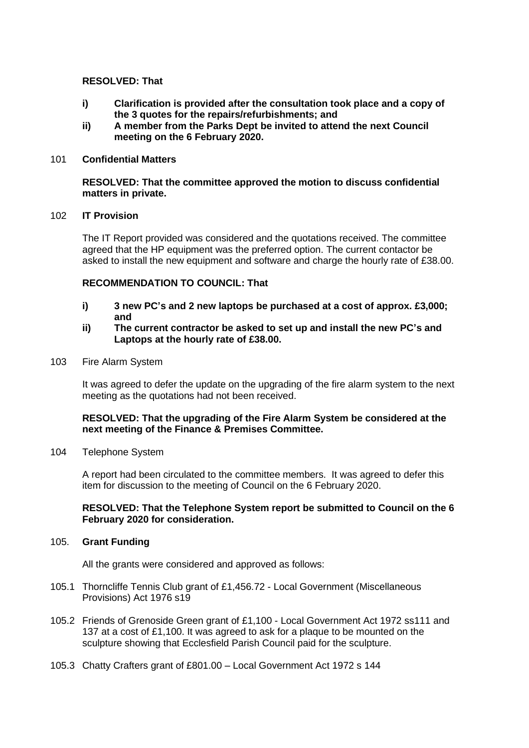# **RESOLVED: That**

- **i) Clarification is provided after the consultation took place and a copy of the 3 quotes for the repairs/refurbishments; and**
- **ii) A member from the Parks Dept be invited to attend the next Council meeting on the 6 February 2020.**

#### 101 **Confidential Matters**

#### **RESOLVED: That the committee approved the motion to discuss confidential matters in private.**

### 102 **IT Provision**

The IT Report provided was considered and the quotations received. The committee agreed that the HP equipment was the preferred option. The current contactor be asked to install the new equipment and software and charge the hourly rate of £38.00.

#### **RECOMMENDATION TO COUNCIL: That**

- **i) 3 new PC's and 2 new laptops be purchased at a cost of approx. £3,000; and**
- **ii) The current contractor be asked to set up and install the new PC's and Laptops at the hourly rate of £38.00.**
- 103 Fire Alarm System

It was agreed to defer the update on the upgrading of the fire alarm system to the next meeting as the quotations had not been received.

#### **RESOLVED: That the upgrading of the Fire Alarm System be considered at the next meeting of the Finance & Premises Committee.**

104 Telephone System

A report had been circulated to the committee members. It was agreed to defer this item for discussion to the meeting of Council on the 6 February 2020.

#### **RESOLVED: That the Telephone System report be submitted to Council on the 6 February 2020 for consideration.**

#### 105. **Grant Funding**

All the grants were considered and approved as follows:

- 105.1 Thorncliffe Tennis Club grant of £1,456.72 Local Government (Miscellaneous Provisions) Act 1976 s19
- 105.2 Friends of Grenoside Green grant of £1,100 Local Government Act 1972 ss111 and 137 at a cost of £1,100. It was agreed to ask for a plaque to be mounted on the sculpture showing that Ecclesfield Parish Council paid for the sculpture.
- 105.3 Chatty Crafters grant of £801.00 Local Government Act 1972 s 144